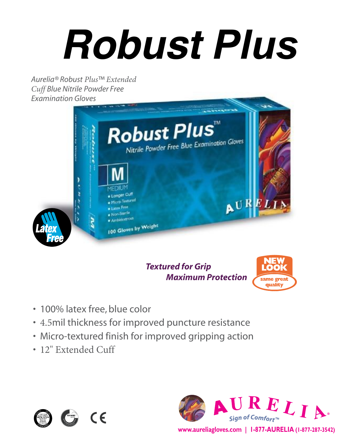# *Robust Plus*

*Aurelia® Robust Plus™ Extended Cuff Blue Nitrile Powder Free Examination Gloves*



### *Textured for Grip Maximum Protection*



- 100% latex free, blue color
- 4.5mil thickness for improved puncture resistance
- Micro-textured finish for improved gripping action
- 12" Extended Cuff





**www.aureliagloves.com | 1-877-AURELIA (1-877-287-3542)**